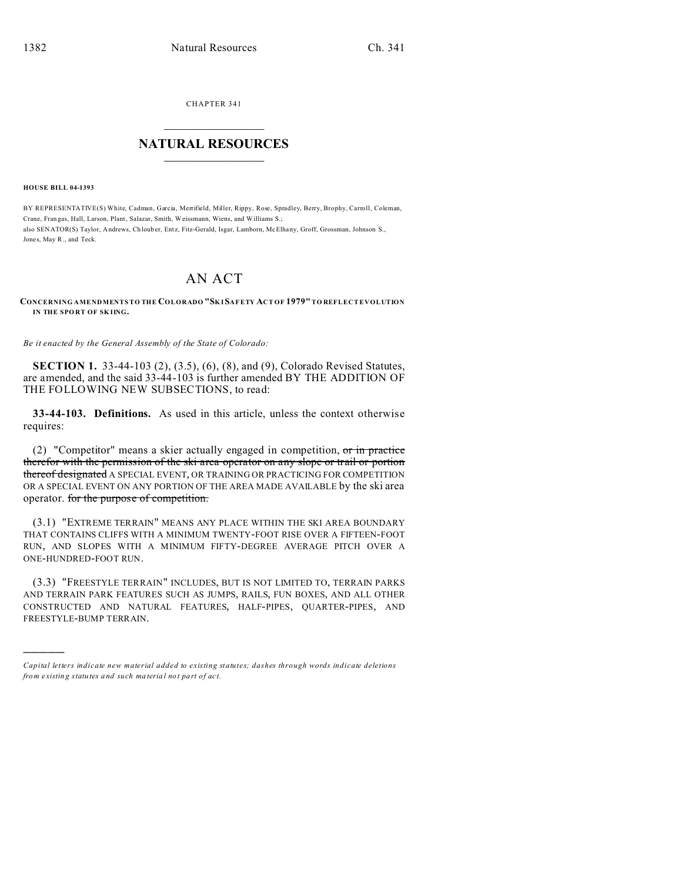CHAPTER 341  $\overline{\phantom{a}}$  , where  $\overline{\phantom{a}}$ 

## **NATURAL RESOURCES**  $\frac{1}{\sqrt{2}}$  ,  $\frac{1}{\sqrt{2}}$  ,  $\frac{1}{\sqrt{2}}$  ,  $\frac{1}{\sqrt{2}}$  ,  $\frac{1}{\sqrt{2}}$  ,  $\frac{1}{\sqrt{2}}$

**HOUSE BILL 04-1393**

)))))

BY REPRESENTATIVE(S) White, Cadman, Garcia, Merrifield, Miller, Rippy, Rose, Spradley, Berry, Brophy, Carroll, Coleman, Crane, Fran gas, Hall, Larson, Plant, Salazar, Smith, Weissmann, Wiens, and Williams S.; also SENATOR(S) Taylor, Andrews, Chlouber, Entz, Fitz-Gerald, Isgar, Lamborn, McElhany, Groff, Grossman, Johnson S., Jones, May R., and Teck.

## AN ACT

## **CONCERNING AMENDMENTS TO THE COLORADO "SK ISAFETY ACT OF 1979" TO REFLECT EVOLUTION IN THE SPO RT OF SK IING.**

*Be it enacted by the General Assembly of the State of Colorado:*

**SECTION 1.** 33-44-103 (2), (3.5), (6), (8), and (9), Colorado Revised Statutes, are amended, and the said 33-44-103 is further amended BY THE ADDITION OF THE FOLLOWING NEW SUBSECTIONS, to read:

**33-44-103. Definitions.** As used in this article, unless the context otherwise requires:

(2) "Competitor" means a skier actually engaged in competition,  $or$  in practice therefor with the permission of the ski area operator on any slope or trail or portion thereof designated A SPECIAL EVENT, OR TRAINING OR PRACTICING FOR COMPETITION OR A SPECIAL EVENT ON ANY PORTION OF THE AREA MADE AVAILABLE by the ski area operator. for the purpose of competition.

(3.1) "EXTREME TERRAIN" MEANS ANY PLACE WITHIN THE SKI AREA BOUNDARY THAT CONTAINS CLIFFS WITH A MINIMUM TWENTY-FOOT RISE OVER A FIFTEEN-FOOT RUN, AND SLOPES WITH A MINIMUM FIFTY-DEGREE AVERAGE PITCH OVER A ONE-HUNDRED-FOOT RUN.

(3.3) "FREESTYLE TERRAIN" INCLUDES, BUT IS NOT LIMITED TO, TERRAIN PARKS AND TERRAIN PARK FEATURES SUCH AS JUMPS, RAILS, FUN BOXES, AND ALL OTHER CONSTRUCTED AND NATURAL FEATURES, HALF-PIPES, QUARTER-PIPES, AND FREESTYLE-BUMP TERRAIN.

*Capital letters indicate new material added to existing statutes; dashes through words indicate deletions from e xistin g statu tes a nd such ma teria l no t pa rt of ac t.*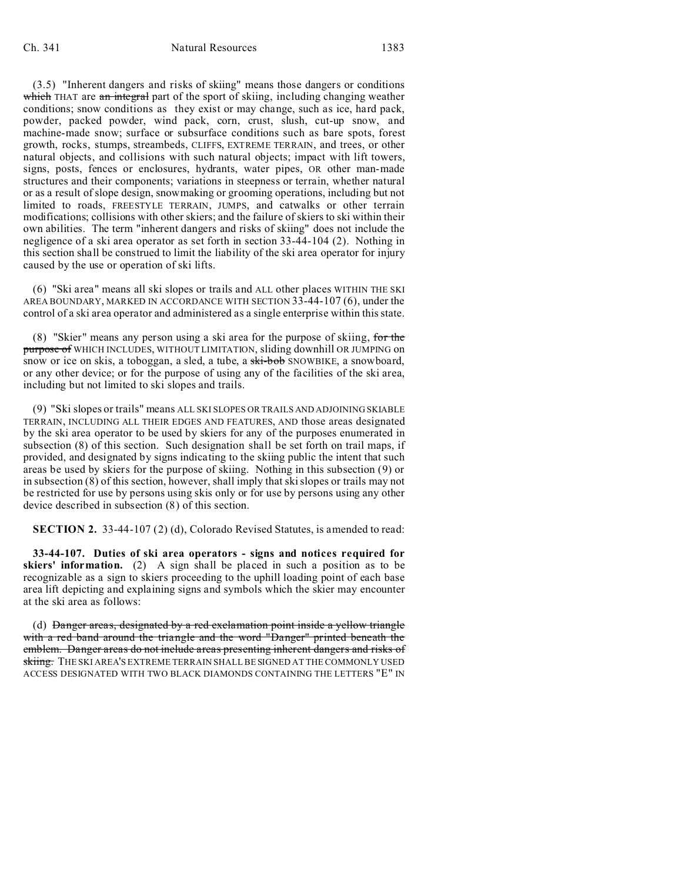(3.5) "Inherent dangers and risks of skiing" means those dangers or conditions which THAT are an integral part of the sport of skiing, including changing weather conditions; snow conditions as they exist or may change, such as ice, hard pack, powder, packed powder, wind pack, corn, crust, slush, cut-up snow, and machine-made snow; surface or subsurface conditions such as bare spots, forest growth, rocks, stumps, streambeds, CLIFFS, EXTREME TERRAIN, and trees, or other natural objects, and collisions with such natural objects; impact with lift towers, signs, posts, fences or enclosures, hydrants, water pipes, OR other man-made structures and their components; variations in steepness or terrain, whether natural or as a result of slope design, snowmaking or grooming operations, including but not limited to roads, FREESTYLE TERRAIN, JUMPS, and catwalks or other terrain modifications; collisions with other skiers; and the failure of skiers to ski within their own abilities. The term "inherent dangers and risks of skiing" does not include the negligence of a ski area operator as set forth in section 33-44-104 (2). Nothing in this section shall be construed to limit the liability of the ski area operator for injury caused by the use or operation of ski lifts.

(6) "Ski area" means all ski slopes or trails and ALL other places WITHIN THE SKI AREA BOUNDARY, MARKED IN ACCORDANCE WITH SECTION 33-44-107 (6), under the control of a ski area operator and administered as a single enterprise within this state.

(8) "Skier" means any person using a ski area for the purpose of skiing, for the purpose of WHICH INCLUDES, WITHOUT LIMITATION, sliding downhill OR JUMPING on snow or ice on skis, a toboggan, a sled, a tube, a ski-bob SNOWBIKE, a snowboard, or any other device; or for the purpose of using any of the facilities of the ski area, including but not limited to ski slopes and trails.

(9) "Ski slopes or trails" means ALL SKI SLOPES OR TRAILS AND ADJOINING SKIABLE TERRAIN, INCLUDING ALL THEIR EDGES AND FEATURES, AND those areas designated by the ski area operator to be used by skiers for any of the purposes enumerated in subsection (8) of this section. Such designation shall be set forth on trail maps, if provided, and designated by signs indicating to the skiing public the intent that such areas be used by skiers for the purpose of skiing. Nothing in this subsection (9) or in subsection (8) of this section, however, shall imply that ski slopes or trails may not be restricted for use by persons using skis only or for use by persons using any other device described in subsection (8) of this section.

**SECTION 2.** 33-44-107 (2) (d), Colorado Revised Statutes, is amended to read:

**33-44-107. Duties of ski area operators - signs and notices required for skiers' information.** (2) A sign shall be placed in such a position as to be recognizable as a sign to skiers proceeding to the uphill loading point of each base area lift depicting and explaining signs and symbols which the skier may encounter at the ski area as follows:

(d) Danger areas, designated by a red exclamation point inside a yellow triangle with a red band around the triangle and the word "Danger" printed beneath the emblem. Danger areas do not include areas presenting inherent dangers and risks of skiing. THE SKI AREA'S EXTREME TERRAIN SHALL BE SIGNED AT THE COMMONLY USED ACCESS DESIGNATED WITH TWO BLACK DIAMONDS CONTAINING THE LETTERS "E" IN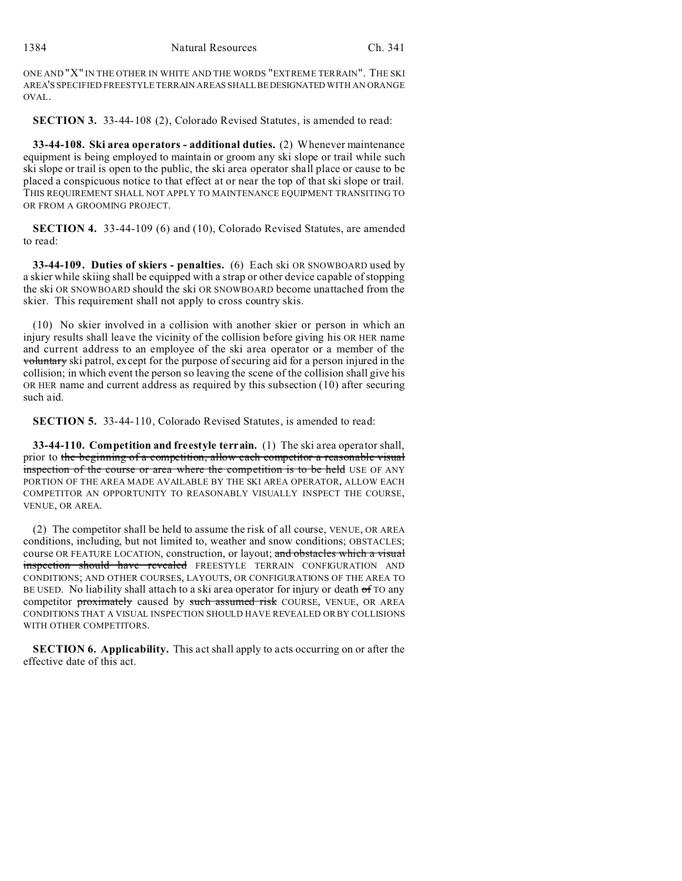ONE AND "X" IN THE OTHER IN WHITE AND THE WORDS "EXTREME TERRAIN". THE SKI AREA'S SPECIFIED FREESTYLE TERRAIN AREAS SHALLBEDESIGNATED WITH AN ORANGE OVAL.

**SECTION 3.** 33-44-108 (2), Colorado Revised Statutes, is amended to read:

**33-44-108. Ski area operators - additional duties.** (2) Whenever maintenance equipment is being employed to maintain or groom any ski slope or trail while such ski slope or trail is open to the public, the ski area operator shall place or cause to be placed a conspicuous notice to that effect at or near the top of that ski slope or trail. THIS REQUIREMENT SHALL NOT APPLY TO MAINTENANCE EQUIPMENT TRANSITING TO OR FROM A GROOMING PROJECT.

**SECTION 4.** 33-44-109 (6) and (10), Colorado Revised Statutes, are amended to read:

**33-44-109. Duties of skiers - penalties.** (6) Each ski OR SNOWBOARD used by a skier while skiing shall be equipped with a strap or other device capable of stopping the ski OR SNOWBOARD should the ski OR SNOWBOARD become unattached from the skier. This requirement shall not apply to cross country skis.

(10) No skier involved in a collision with another skier or person in which an injury results shall leave the vicinity of the collision before giving his OR HER name and current address to an employee of the ski area operator or a member of the voluntary ski patrol, except for the purpose of securing aid for a person injured in the collision; in which event the person so leaving the scene of the collision shall give his OR HER name and current address as required by this subsection (10) after securing such aid.

**SECTION 5.** 33-44-110, Colorado Revised Statutes, is amended to read:

**33-44-110. Competition and freestyle terrain.** (1) The ski area operator shall, prior to the beginning of a competition, allow each competitor a reasonable visual inspection of the course or area where the competition is to be held USE OF ANY PORTION OF THE AREA MADE AVAILABLE BY THE SKI AREA OPERATOR, ALLOW EACH COMPETITOR AN OPPORTUNITY TO REASONABLY VISUALLY INSPECT THE COURSE, VENUE, OR AREA.

(2) The competitor shall be held to assume the risk of all course, VENUE, OR AREA conditions, including, but not limited to, weather and snow conditions; OBSTACLES; course OR FEATURE LOCATION, construction, or layout; and obstacles which a visual inspection should have revealed FREESTYLE TERRAIN CONFIGURATION AND CONDITIONS; AND OTHER COURSES, LAYOUTS, OR CONFIGURATIONS OF THE AREA TO BE USED. No liability shall attach to a ski area operator for injury or death  $\sigma$  TO any competitor proximately caused by such assumed risk COURSE, VENUE, OR AREA CONDITIONS THAT A VISUAL INSPECTION SHOULD HAVE REVEALED OR BY COLLISIONS WITH OTHER COMPETITORS.

**SECTION 6. Applicability.** This act shall apply to acts occurring on or after the effective date of this act.